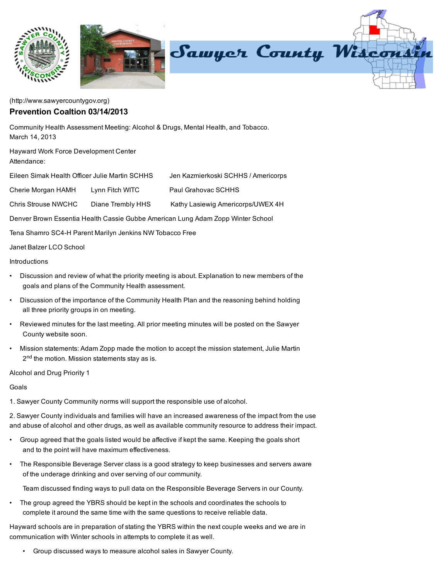

[\(http://www.sawyercountygov.org\)](http://www.sawyercountygov.org/)

## Prevention Coaltion 03/14/2013

Community Health Assessment Meeting: Alcohol & Drugs, Mental Health, and Tobacco. March 14, 2013

Hayward Work Force Development Center Attendance:

| Eileen Simak Health Officer Julie Martin SCHHS |                 | Jen Kazmierkoski SCHHS / Americorps |
|------------------------------------------------|-----------------|-------------------------------------|
| Cherie Morgan HAMH                             | Lynn Fitch WITC | Paul Grahovac SCHHS                 |

Chris Strouse NWCHC Diane Trembly HHS Kathy Lasiewig Americorps/UWEX 4H

Denver Brown Essentia Health Cassie Gubbe American Lung Adam Zopp Winter School

Tena Shamro SC4-H Parent Marilyn Jenkins NW Tobacco Free

## Janet Balzer LCO School

## **Introductions**

- Discussion and review of what the priority meeting is about. Explanation to new members of the goals and plans of the Community Health assessment.
- Discussion of the importance of the Community Health Plan and the reasoning behind holding all three priority groups in on meeting.
- Reviewed minutes for the last meeting. All prior meeting minutes will be posted on the Sawyer County website soon.
- Mission statements: Adam Zopp made the motion to accept the mission statement, Julie Martin 2<sup>nd</sup> the motion. Mission statements stay as is.

Alcohol and Drug Priority 1

Goals

1. Sawyer County Community norms will support the responsible use of alcohol.

2. Sawyer County individuals and families will have an increased awareness of the impact from the use and abuse of alcohol and other drugs, as well as available community resource to address their impact.

- Group agreed that the goals listed would be affective if kept the same. Keeping the goals short and to the point will have maximum effectiveness.
- The Responsible Beverage Server class is a good strategy to keep businesses and servers aware of the underage drinking and over serving of our community.

Team discussed finding ways to pull data on the Responsible Beverage Servers in our County.

• The group agreed the YBRS should be kept in the schools and coordinates the schools to complete it around the same time with the same questions to receive reliable data.

Hayward schools are in preparation of stating the YBRS within the next couple weeks and we are in communication with Winter schools in attempts to complete it as well.

• Group discussed ways to measure alcohol sales in Sawyer County.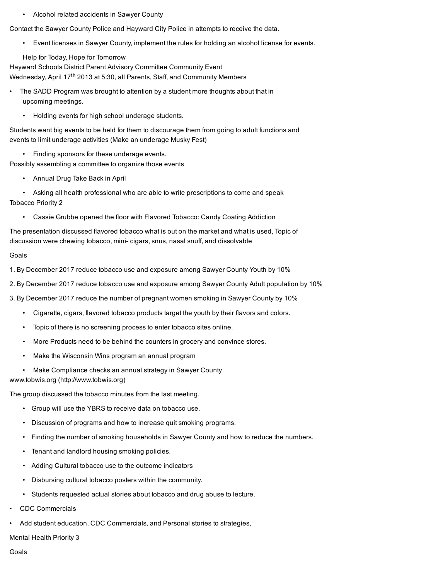• Alcohol related accidents in Sawyer County

Contact the Sawyer County Police and Hayward City Police in attempts to receive the data.

• Event licenses in Sawyer County, implement the rules for holding an alcohol license for events.

Help for Today, Hope for Tomorrow

Hayward Schools District Parent Advisory Committee Community Event Wednesday, April 17<sup>th</sup> 2013 at 5:30, all Parents, Staff, and Community Members

- The SADD Program was brought to attention by a student more thoughts about that in upcoming meetings.
	- Holding events for high school underage students.

Students want big events to be held for them to discourage them from going to adult functions and events to limit underage activities (Make an underage Musky Fest)

• Finding sponsors for these underage events.

Possibly assembling a committee to organize those events

• Annual Drug Take Back in April

• Asking all health professional who are able to write prescriptions to come and speak Tobacco Priority 2

• Cassie Grubbe opened the floor with Flavored Tobacco: Candy Coating Addiction

The presentation discussed flavored tobacco what is out on the market and what is used, Topic of discussion were chewing tobacco, mini- cigars, snus, nasal snuff, and dissolvable

## Goals

1. By December 2017 reduce tobacco use and exposure among Sawyer County Youth by 10%

2. By December 2017 reduce tobacco use and exposure among Sawyer County Adult population by 10%

3. By December 2017 reduce the number of pregnant women smoking in Sawyer County by 10%

- Cigarette, cigars, flavored tobacco products target the youth by their flavors and colors.
- Topic of there is no screening process to enter tobacco sites online.
- More Products need to be behind the counters in grocery and convince stores.
- Make the Wisconsin Wins program an annual program
- Make Compliance checks an annual strategy in Sawyer County

www.tobwis.org [\(http://www.tobwis.org\)](http://www.tobwis.org/)

The group discussed the tobacco minutes from the last meeting.

- Group will use the YBRS to receive data on tobacco use.
- Discussion of programs and how to increase quit smoking programs.
- Finding the number of smoking households in Sawyer County and how to reduce the numbers.
- Tenant and landlord housing smoking policies.
- Adding Cultural tobacco use to the outcome indicators
- Disbursing cultural tobacco posters within the community.
- Students requested actual stories about tobacco and drug abuse to lecture.
- CDC Commercials
- Add student education, CDC Commercials, and Personal stories to strategies,

Mental Health Priority 3